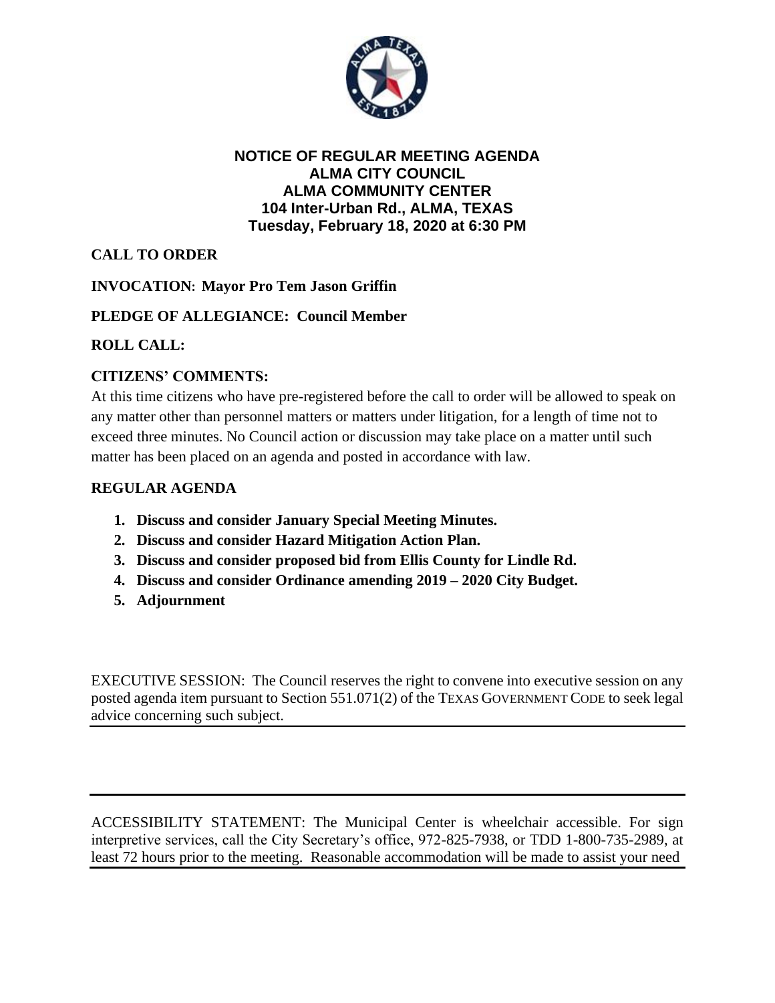

#### **NOTICE OF REGULAR MEETING AGENDA ALMA CITY COUNCIL ALMA COMMUNITY CENTER 104 Inter-Urban Rd., ALMA, TEXAS Tuesday, February 18, 2020 at 6:30 PM**

# **CALL TO ORDER**

### **INVOCATION: Mayor Pro Tem Jason Griffin**

### **PLEDGE OF ALLEGIANCE: Council Member**

# **ROLL CALL:**

# **CITIZENS' COMMENTS:**

At this time citizens who have pre-registered before the call to order will be allowed to speak on any matter other than personnel matters or matters under litigation, for a length of time not to exceed three minutes. No Council action or discussion may take place on a matter until such matter has been placed on an agenda and posted in accordance with law.

### **REGULAR AGENDA**

- **1. Discuss and consider January Special Meeting Minutes.**
- **2. Discuss and consider Hazard Mitigation Action Plan.**
- **3. Discuss and consider proposed bid from Ellis County for Lindle Rd.**
- **4. Discuss and consider Ordinance amending 2019 – 2020 City Budget.**
- **5. Adjournment**

EXECUTIVE SESSION: The Council reserves the right to convene into executive session on any posted agenda item pursuant to Section 551.071(2) of the TEXAS GOVERNMENT CODE to seek legal advice concerning such subject.

ACCESSIBILITY STATEMENT: The Municipal Center is wheelchair accessible. For sign interpretive services, call the City Secretary's office, 972-825-7938, or TDD 1-800-735-2989, at least 72 hours prior to the meeting. Reasonable accommodation will be made to assist your need